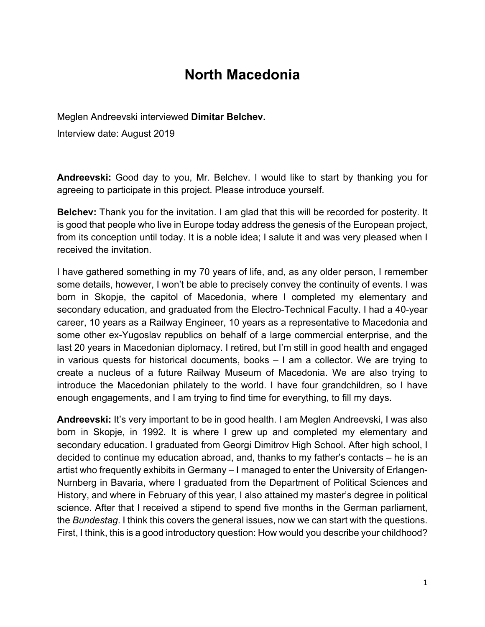# **North Macedonia**

Meglen Andreevski interviewed **Dimitar Belchev.**

Interview date: August 2019

**Andreevski:** Good day to you, Mr. Belchev. I would like to start by thanking you for agreeing to participate in this project. Please introduce yourself.

**Belchev:** Thank you for the invitation. I am glad that this will be recorded for posterity. It is good that people who live in Europe today address the genesis of the European project, from its conception until today. It is a noble idea; I salute it and was very pleased when I received the invitation.

I have gathered something in my 70 years of life, and, as any older person, I remember some details, however, I won't be able to precisely convey the continuity of events. I was born in Skopje, the capitol of Macedonia, where I completed my elementary and secondary education, and graduated from the Electro-Technical Faculty. I had a 40-year career, 10 years as a Railway Engineer, 10 years as a representative to Macedonia and some other ex-Yugoslav republics on behalf of a large commercial enterprise, and the last 20 years in Macedonian diplomacy. I retired, but I'm still in good health and engaged in various quests for historical documents, books – I am a collector. We are trying to create a nucleus of a future Railway Museum of Macedonia. We are also trying to introduce the Macedonian philately to the world. I have four grandchildren, so I have enough engagements, and I am trying to find time for everything, to fill my days.

**Andreevski:** It's very important to be in good health. I am Meglen Andreevski, I was also born in Skopje, in 1992. It is where I grew up and completed my elementary and secondary education. I graduated from Georgi Dimitrov High School. After high school, I decided to continue my education abroad, and, thanks to my father's contacts – he is an artist who frequently exhibits in Germany – I managed to enter the University of Erlangen-Nurnberg in Bavaria, where I graduated from the Department of Political Sciences and History, and where in February of this year, I also attained my master's degree in political science. After that I received a stipend to spend five months in the German parliament, the *Bundestag*. I think this covers the general issues, now we can start with the questions. First, I think, this is a good introductory question: How would you describe your childhood?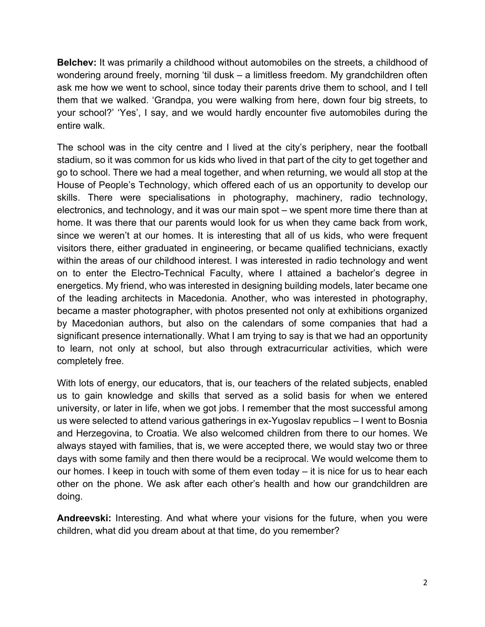**Belchev:** It was primarily a childhood without automobiles on the streets, a childhood of wondering around freely, morning 'til dusk – a limitless freedom. My grandchildren often ask me how we went to school, since today their parents drive them to school, and I tell them that we walked. 'Grandpa, you were walking from here, down four big streets, to your school?' 'Yes', I say, and we would hardly encounter five automobiles during the entire walk.

The school was in the city centre and I lived at the city's periphery, near the football stadium, so it was common for us kids who lived in that part of the city to get together and go to school. There we had a meal together, and when returning, we would all stop at the House of People's Technology, which offered each of us an opportunity to develop our skills. There were specialisations in photography, machinery, radio technology, electronics, and technology, and it was our main spot – we spent more time there than at home. It was there that our parents would look for us when they came back from work, since we weren't at our homes. It is interesting that all of us kids, who were frequent visitors there, either graduated in engineering, or became qualified technicians, exactly within the areas of our childhood interest. I was interested in radio technology and went on to enter the Electro-Technical Faculty, where I attained a bachelor's degree in energetics. My friend, who was interested in designing building models, later became one of the leading architects in Macedonia. Another, who was interested in photography, became a master photographer, with photos presented not only at exhibitions organized by Macedonian authors, but also on the calendars of some companies that had a significant presence internationally. What I am trying to say is that we had an opportunity to learn, not only at school, but also through extracurricular activities, which were completely free.

With lots of energy, our educators, that is, our teachers of the related subjects, enabled us to gain knowledge and skills that served as a solid basis for when we entered university, or later in life, when we got jobs. I remember that the most successful among us were selected to attend various gatherings in ex-Yugoslav republics – I went to Bosnia and Herzegovina, to Croatia. We also welcomed children from there to our homes. We always stayed with families, that is, we were accepted there, we would stay two or three days with some family and then there would be a reciprocal. We would welcome them to our homes. I keep in touch with some of them even today – it is nice for us to hear each other on the phone. We ask after each other's health and how our grandchildren are doing.

**Andreevski:** Interesting. And what where your visions for the future, when you were children, what did you dream about at that time, do you remember?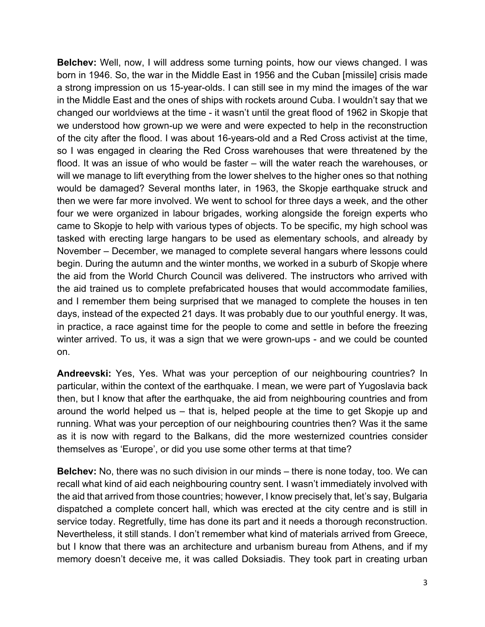**Belchev:** Well, now, I will address some turning points, how our views changed. I was born in 1946. So, the war in the Middle East in 1956 and the Cuban [missile] crisis made a strong impression on us 15-year-olds. I can still see in my mind the images of the war in the Middle East and the ones of ships with rockets around Cuba. I wouldn't say that we changed our worldviews at the time - it wasn't until the great flood of 1962 in Skopje that we understood how grown-up we were and were expected to help in the reconstruction of the city after the flood. I was about 16-years-old and a Red Cross activist at the time, so I was engaged in clearing the Red Cross warehouses that were threatened by the flood. It was an issue of who would be faster – will the water reach the warehouses, or will we manage to lift everything from the lower shelves to the higher ones so that nothing would be damaged? Several months later, in 1963, the Skopje earthquake struck and then we were far more involved. We went to school for three days a week, and the other four we were organized in labour brigades, working alongside the foreign experts who came to Skopje to help with various types of objects. To be specific, my high school was tasked with erecting large hangars to be used as elementary schools, and already by November – December, we managed to complete several hangars where lessons could begin. During the autumn and the winter months, we worked in a suburb of Skopje where the aid from the World Church Council was delivered. The instructors who arrived with the aid trained us to complete prefabricated houses that would accommodate families, and I remember them being surprised that we managed to complete the houses in ten days, instead of the expected 21 days. It was probably due to our youthful energy. It was, in practice, a race against time for the people to come and settle in before the freezing winter arrived. To us, it was a sign that we were grown-ups - and we could be counted on.

**Andreevski:** Yes, Yes. What was your perception of our neighbouring countries? In particular, within the context of the earthquake. I mean, we were part of Yugoslavia back then, but I know that after the earthquake, the aid from neighbouring countries and from around the world helped us – that is, helped people at the time to get Skopje up and running. What was your perception of our neighbouring countries then? Was it the same as it is now with regard to the Balkans, did the more westernized countries consider themselves as 'Europe', or did you use some other terms at that time?

**Belchev:** No, there was no such division in our minds – there is none today, too. We can recall what kind of aid each neighbouring country sent. I wasn't immediately involved with the aid that arrived from those countries; however, I know precisely that, let's say, Bulgaria dispatched a complete concert hall, which was erected at the city centre and is still in service today. Regretfully, time has done its part and it needs a thorough reconstruction. Nevertheless, it still stands. I don't remember what kind of materials arrived from Greece, but I know that there was an architecture and urbanism bureau from Athens, and if my memory doesn't deceive me, it was called Doksiadis. They took part in creating urban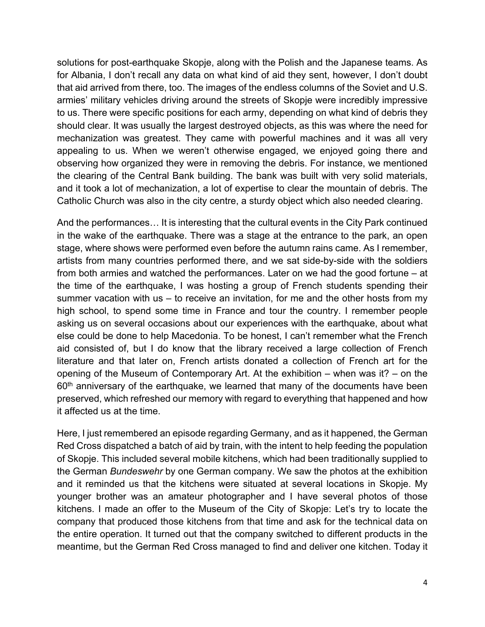solutions for post-earthquake Skopje, along with the Polish and the Japanese teams. As for Albania, I don't recall any data on what kind of aid they sent, however, I don't doubt that aid arrived from there, too. The images of the endless columns of the Soviet and U.S. armies' military vehicles driving around the streets of Skopje were incredibly impressive to us. There were specific positions for each army, depending on what kind of debris they should clear. It was usually the largest destroyed objects, as this was where the need for mechanization was greatest. They came with powerful machines and it was all very appealing to us. When we weren't otherwise engaged, we enjoyed going there and observing how organized they were in removing the debris. For instance, we mentioned the clearing of the Central Bank building. The bank was built with very solid materials, and it took a lot of mechanization, a lot of expertise to clear the mountain of debris. The Catholic Church was also in the city centre, a sturdy object which also needed clearing.

And the performances… It is interesting that the cultural events in the City Park continued in the wake of the earthquake. There was a stage at the entrance to the park, an open stage, where shows were performed even before the autumn rains came. As I remember, artists from many countries performed there, and we sat side-by-side with the soldiers from both armies and watched the performances. Later on we had the good fortune – at the time of the earthquake, I was hosting a group of French students spending their summer vacation with us – to receive an invitation, for me and the other hosts from my high school, to spend some time in France and tour the country. I remember people asking us on several occasions about our experiences with the earthquake, about what else could be done to help Macedonia. To be honest, I can't remember what the French aid consisted of, but I do know that the library received a large collection of French literature and that later on, French artists donated a collection of French art for the opening of the Museum of Contemporary Art. At the exhibition – when was it? – on the  $60<sup>th</sup>$  anniversary of the earthquake, we learned that many of the documents have been preserved, which refreshed our memory with regard to everything that happened and how it affected us at the time.

Here, I just remembered an episode regarding Germany, and as it happened, the German Red Cross dispatched a batch of aid by train, with the intent to help feeding the population of Skopje. This included several mobile kitchens, which had been traditionally supplied to the German *Bundeswehr* by one German company. We saw the photos at the exhibition and it reminded us that the kitchens were situated at several locations in Skopje. My younger brother was an amateur photographer and I have several photos of those kitchens. I made an offer to the Museum of the City of Skopje: Let's try to locate the company that produced those kitchens from that time and ask for the technical data on the entire operation. It turned out that the company switched to different products in the meantime, but the German Red Cross managed to find and deliver one kitchen. Today it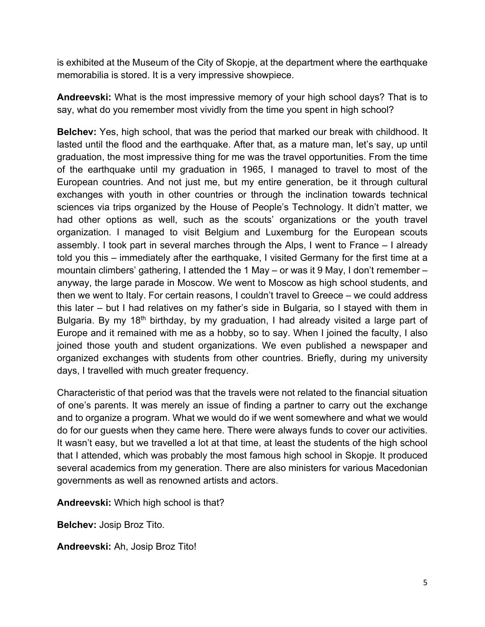is exhibited at the Museum of the City of Skopje, at the department where the earthquake memorabilia is stored. It is a very impressive showpiece.

**Andreevski:** What is the most impressive memory of your high school days? That is to say, what do you remember most vividly from the time you spent in high school?

**Belchev:** Yes, high school, that was the period that marked our break with childhood. It lasted until the flood and the earthquake. After that, as a mature man, let's say, up until graduation, the most impressive thing for me was the travel opportunities. From the time of the earthquake until my graduation in 1965, I managed to travel to most of the European countries. And not just me, but my entire generation, be it through cultural exchanges with youth in other countries or through the inclination towards technical sciences via trips organized by the House of People's Technology. It didn't matter, we had other options as well, such as the scouts' organizations or the youth travel organization. I managed to visit Belgium and Luxemburg for the European scouts assembly. I took part in several marches through the Alps, I went to France – I already told you this – immediately after the earthquake, I visited Germany for the first time at a mountain climbers' gathering, I attended the 1 May – or was it 9 May, I don't remember – anyway, the large parade in Moscow. We went to Moscow as high school students, and then we went to Italy. For certain reasons, I couldn't travel to Greece – we could address this later – but I had relatives on my father's side in Bulgaria, so I stayed with them in Bulgaria. By my 18<sup>th</sup> birthday, by my graduation, I had already visited a large part of Europe and it remained with me as a hobby, so to say. When I joined the faculty, I also joined those youth and student organizations. We even published a newspaper and organized exchanges with students from other countries. Briefly, during my university days, I travelled with much greater frequency.

Characteristic of that period was that the travels were not related to the financial situation of one's parents. It was merely an issue of finding a partner to carry out the exchange and to organize a program. What we would do if we went somewhere and what we would do for our guests when they came here. There were always funds to cover our activities. It wasn't easy, but we travelled a lot at that time, at least the students of the high school that I attended, which was probably the most famous high school in Skopje. It produced several academics from my generation. There are also ministers for various Macedonian governments as well as renowned artists and actors.

**Andreevski:** Which high school is that?

**Belchev:** Josip Broz Tito.

**Andreevski:** Ah, Josip Broz Tito!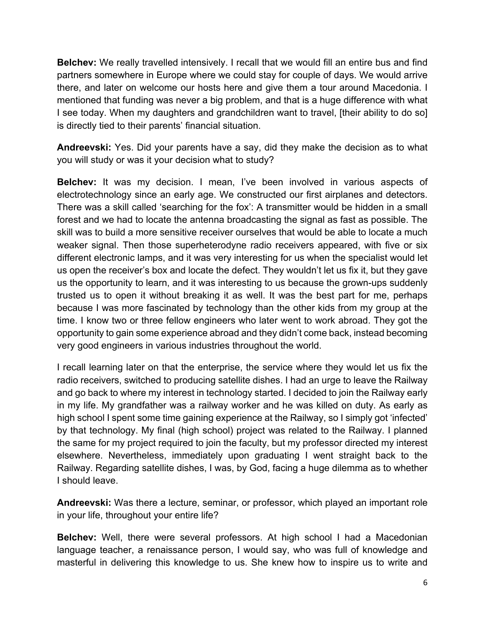**Belchev:** We really travelled intensively. I recall that we would fill an entire bus and find partners somewhere in Europe where we could stay for couple of days. We would arrive there, and later on welcome our hosts here and give them a tour around Macedonia. I mentioned that funding was never a big problem, and that is a huge difference with what I see today. When my daughters and grandchildren want to travel, [their ability to do so] is directly tied to their parents' financial situation.

**Andreevski:** Yes. Did your parents have a say, did they make the decision as to what you will study or was it your decision what to study?

**Belchev:** It was my decision. I mean, I've been involved in various aspects of electrotechnology since an early age. We constructed our first airplanes and detectors. There was a skill called 'searching for the fox': A transmitter would be hidden in a small forest and we had to locate the antenna broadcasting the signal as fast as possible. The skill was to build a more sensitive receiver ourselves that would be able to locate a much weaker signal. Then those superheterodyne radio receivers appeared, with five or six different electronic lamps, and it was very interesting for us when the specialist would let us open the receiver's box and locate the defect. They wouldn't let us fix it, but they gave us the opportunity to learn, and it was interesting to us because the grown-ups suddenly trusted us to open it without breaking it as well. It was the best part for me, perhaps because I was more fascinated by technology than the other kids from my group at the time. I know two or three fellow engineers who later went to work abroad. They got the opportunity to gain some experience abroad and they didn't come back, instead becoming very good engineers in various industries throughout the world.

I recall learning later on that the enterprise, the service where they would let us fix the radio receivers, switched to producing satellite dishes. I had an urge to leave the Railway and go back to where my interest in technology started. I decided to join the Railway early in my life. My grandfather was a railway worker and he was killed on duty. As early as high school I spent some time gaining experience at the Railway, so I simply got 'infected' by that technology. My final (high school) project was related to the Railway. I planned the same for my project required to join the faculty, but my professor directed my interest elsewhere. Nevertheless, immediately upon graduating I went straight back to the Railway. Regarding satellite dishes, I was, by God, facing a huge dilemma as to whether I should leave.

**Andreevski:** Was there a lecture, seminar, or professor, which played an important role in your life, throughout your entire life?

**Belchev:** Well, there were several professors. At high school I had a Macedonian language teacher, a renaissance person, I would say, who was full of knowledge and masterful in delivering this knowledge to us. She knew how to inspire us to write and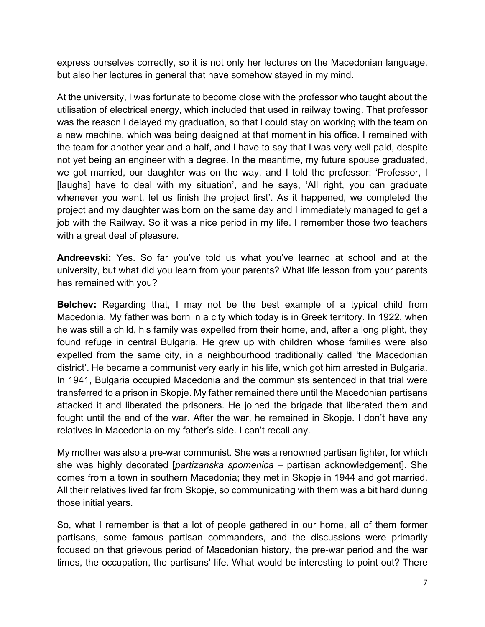express ourselves correctly, so it is not only her lectures on the Macedonian language, but also her lectures in general that have somehow stayed in my mind.

At the university, I was fortunate to become close with the professor who taught about the utilisation of electrical energy, which included that used in railway towing. That professor was the reason I delayed my graduation, so that I could stay on working with the team on a new machine, which was being designed at that moment in his office. I remained with the team for another year and a half, and I have to say that I was very well paid, despite not yet being an engineer with a degree. In the meantime, my future spouse graduated, we got married, our daughter was on the way, and I told the professor: 'Professor, I [laughs] have to deal with my situation', and he says, 'All right, you can graduate whenever you want, let us finish the project first'. As it happened, we completed the project and my daughter was born on the same day and I immediately managed to get a job with the Railway. So it was a nice period in my life. I remember those two teachers with a great deal of pleasure.

**Andreevski:** Yes. So far you've told us what you've learned at school and at the university, but what did you learn from your parents? What life lesson from your parents has remained with you?

**Belchev:** Regarding that, I may not be the best example of a typical child from Macedonia. My father was born in a city which today is in Greek territory. In 1922, when he was still a child, his family was expelled from their home, and, after a long plight, they found refuge in central Bulgaria. He grew up with children whose families were also expelled from the same city, in a neighbourhood traditionally called 'the Macedonian district'. He became a communist very early in his life, which got him arrested in Bulgaria. In 1941, Bulgaria occupied Macedonia and the communists sentenced in that trial were transferred to a prison in Skopje. My father remained there until the Macedonian partisans attacked it and liberated the prisoners. He joined the brigade that liberated them and fought until the end of the war. After the war, he remained in Skopje. I don't have any relatives in Macedonia on my father's side. I can't recall any.

My mother was also a pre-war communist. She was a renowned partisan fighter, for which she was highly decorated [*partizanska spomenica* – partisan acknowledgement]. She comes from a town in southern Macedonia; they met in Skopje in 1944 and got married. All their relatives lived far from Skopje, so communicating with them was a bit hard during those initial years.

So, what I remember is that a lot of people gathered in our home, all of them former partisans, some famous partisan commanders, and the discussions were primarily focused on that grievous period of Macedonian history, the pre-war period and the war times, the occupation, the partisans' life. What would be interesting to point out? There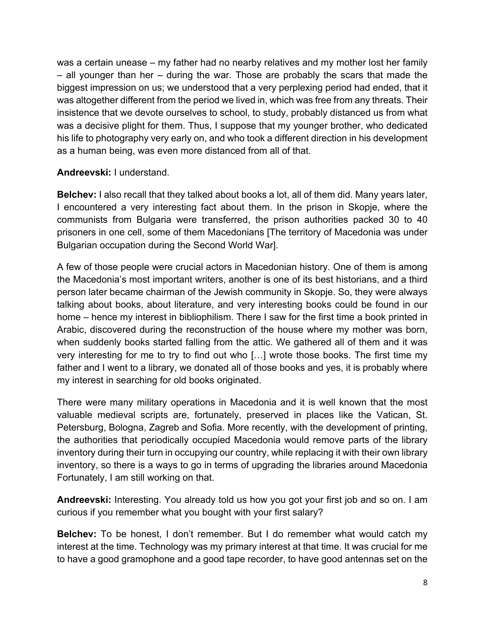was a certain unease – my father had no nearby relatives and my mother lost her family – all younger than her – during the war. Those are probably the scars that made the biggest impression on us; we understood that a very perplexing period had ended, that it was altogether different from the period we lived in, which was free from any threats. Their insistence that we devote ourselves to school, to study, probably distanced us from what was a decisive plight for them. Thus, I suppose that my younger brother, who dedicated his life to photography very early on, and who took a different direction in his development as a human being, was even more distanced from all of that.

# **Andreevski:** I understand.

**Belchev:** I also recall that they talked about books a lot, all of them did. Many years later, I encountered a very interesting fact about them. In the prison in Skopje, where the communists from Bulgaria were transferred, the prison authorities packed 30 to 40 prisoners in one cell, some of them Macedonians [The territory of Macedonia was under Bulgarian occupation during the Second World War].

A few of those people were crucial actors in Macedonian history. One of them is among the Macedonia's most important writers, another is one of its best historians, and a third person later became chairman of the Jewish community in Skopje. So, they were always talking about books, about literature, and very interesting books could be found in our home – hence my interest in bibliophilism. There I saw for the first time a book printed in Arabic, discovered during the reconstruction of the house where my mother was born, when suddenly books started falling from the attic. We gathered all of them and it was very interesting for me to try to find out who […] wrote those books. The first time my father and I went to a library, we donated all of those books and yes, it is probably where my interest in searching for old books originated.

There were many military operations in Macedonia and it is well known that the most valuable medieval scripts are, fortunately, preserved in places like the Vatican, St. Petersburg, Bologna, Zagreb and Sofia. More recently, with the development of printing, the authorities that periodically occupied Macedonia would remove parts of the library inventory during their turn in occupying our country, while replacing it with their own library inventory, so there is a ways to go in terms of upgrading the libraries around Macedonia Fortunately, I am still working on that.

**Andreevski:** Interesting. You already told us how you got your first job and so on. I am curious if you remember what you bought with your first salary?

**Belchev:** To be honest, I don't remember. But I do remember what would catch my interest at the time. Technology was my primary interest at that time. It was crucial for me to have a good gramophone and a good tape recorder, to have good antennas set on the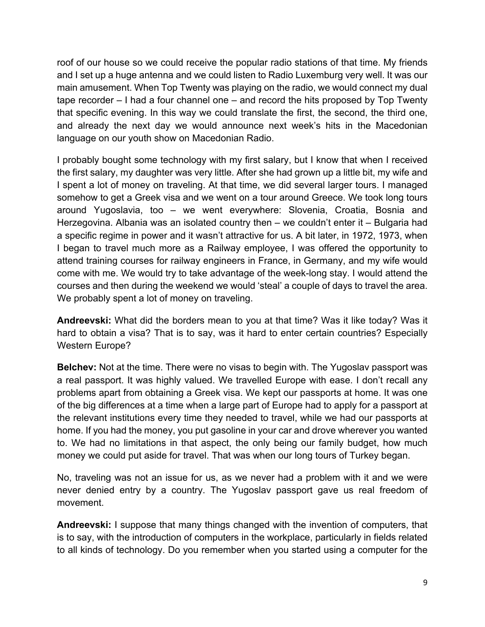roof of our house so we could receive the popular radio stations of that time. My friends and I set up a huge antenna and we could listen to Radio Luxemburg very well. It was our main amusement. When Top Twenty was playing on the radio, we would connect my dual tape recorder – I had a four channel one – and record the hits proposed by Top Twenty that specific evening. In this way we could translate the first, the second, the third one, and already the next day we would announce next week's hits in the Macedonian language on our youth show on Macedonian Radio.

I probably bought some technology with my first salary, but I know that when I received the first salary, my daughter was very little. After she had grown up a little bit, my wife and I spent a lot of money on traveling. At that time, we did several larger tours. I managed somehow to get a Greek visa and we went on a tour around Greece. We took long tours around Yugoslavia, too – we went everywhere: Slovenia, Croatia, Bosnia and Herzegovina. Albania was an isolated country then – we couldn't enter it – Bulgaria had a specific regime in power and it wasn't attractive for us. A bit later, in 1972, 1973, when I began to travel much more as a Railway employee, I was offered the opportunity to attend training courses for railway engineers in France, in Germany, and my wife would come with me. We would try to take advantage of the week-long stay. I would attend the courses and then during the weekend we would 'steal' a couple of days to travel the area. We probably spent a lot of money on traveling.

**Andreevski:** What did the borders mean to you at that time? Was it like today? Was it hard to obtain a visa? That is to say, was it hard to enter certain countries? Especially Western Europe?

**Belchev:** Not at the time. There were no visas to begin with. The Yugoslav passport was a real passport. It was highly valued. We travelled Europe with ease. I don't recall any problems apart from obtaining a Greek visa. We kept our passports at home. It was one of the big differences at a time when a large part of Europe had to apply for a passport at the relevant institutions every time they needed to travel, while we had our passports at home. If you had the money, you put gasoline in your car and drove wherever you wanted to. We had no limitations in that aspect, the only being our family budget, how much money we could put aside for travel. That was when our long tours of Turkey began.

No, traveling was not an issue for us, as we never had a problem with it and we were never denied entry by a country. The Yugoslav passport gave us real freedom of movement.

**Andreevski:** I suppose that many things changed with the invention of computers, that is to say, with the introduction of computers in the workplace, particularly in fields related to all kinds of technology. Do you remember when you started using a computer for the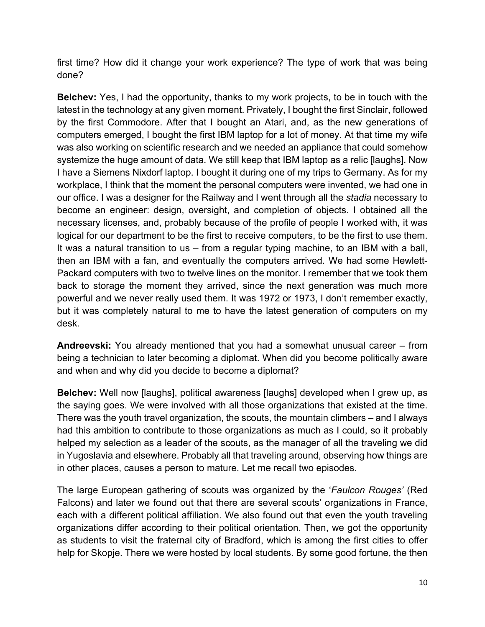first time? How did it change your work experience? The type of work that was being done?

**Belchev:** Yes, I had the opportunity, thanks to my work projects, to be in touch with the latest in the technology at any given moment. Privately, I bought the first Sinclair, followed by the first Commodore. After that I bought an Atari, and, as the new generations of computers emerged, I bought the first IBM laptop for a lot of money. At that time my wife was also working on scientific research and we needed an appliance that could somehow systemize the huge amount of data. We still keep that IBM laptop as a relic [laughs]. Now I have a Siemens Nixdorf laptop. I bought it during one of my trips to Germany. As for my workplace, I think that the moment the personal computers were invented, we had one in our office. I was a designer for the Railway and I went through all the *stadia* necessary to become an engineer: design, oversight, and completion of objects. I obtained all the necessary licenses, and, probably because of the profile of people I worked with, it was logical for our department to be the first to receive computers, to be the first to use them. It was a natural transition to us – from a regular typing machine, to an IBM with a ball, then an IBM with a fan, and eventually the computers arrived. We had some Hewlett-Packard computers with two to twelve lines on the monitor. I remember that we took them back to storage the moment they arrived, since the next generation was much more powerful and we never really used them. It was 1972 or 1973, I don't remember exactly, but it was completely natural to me to have the latest generation of computers on my desk.

**Andreevski:** You already mentioned that you had a somewhat unusual career – from being a technician to later becoming a diplomat. When did you become politically aware and when and why did you decide to become a diplomat?

**Belchev:** Well now [laughs], political awareness [laughs] developed when I grew up, as the saying goes. We were involved with all those organizations that existed at the time. There was the youth travel organization, the scouts, the mountain climbers – and I always had this ambition to contribute to those organizations as much as I could, so it probably helped my selection as a leader of the scouts, as the manager of all the traveling we did in Yugoslavia and elsewhere. Probably all that traveling around, observing how things are in other places, causes a person to mature. Let me recall two episodes.

The large European gathering of scouts was organized by the '*Faulcon Rouges'* (Red Falcons) and later we found out that there are several scouts' organizations in France, each with a different political affiliation. We also found out that even the youth traveling organizations differ according to their political orientation. Then, we got the opportunity as students to visit the fraternal city of Bradford, which is among the first cities to offer help for Skopje. There we were hosted by local students. By some good fortune, the then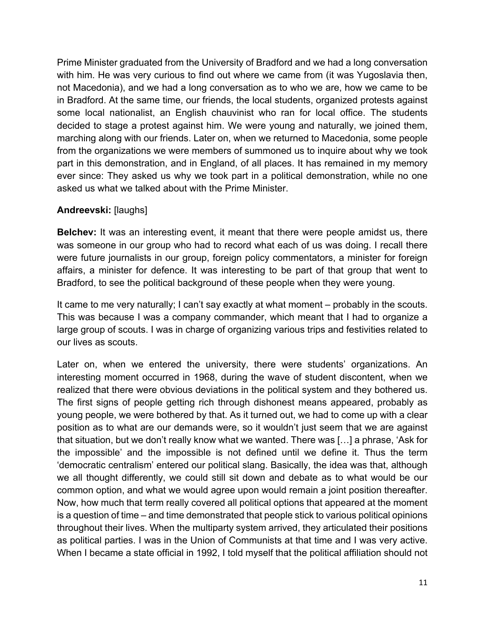Prime Minister graduated from the University of Bradford and we had a long conversation with him. He was very curious to find out where we came from (it was Yugoslavia then, not Macedonia), and we had a long conversation as to who we are, how we came to be in Bradford. At the same time, our friends, the local students, organized protests against some local nationalist, an English chauvinist who ran for local office. The students decided to stage a protest against him. We were young and naturally, we joined them, marching along with our friends. Later on, when we returned to Macedonia, some people from the organizations we were members of summoned us to inquire about why we took part in this demonstration, and in England, of all places. It has remained in my memory ever since: They asked us why we took part in a political demonstration, while no one asked us what we talked about with the Prime Minister.

# **Andreevski:** [laughs]

**Belchev:** It was an interesting event, it meant that there were people amidst us, there was someone in our group who had to record what each of us was doing. I recall there were future journalists in our group, foreign policy commentators, a minister for foreign affairs, a minister for defence. It was interesting to be part of that group that went to Bradford, to see the political background of these people when they were young.

It came to me very naturally; I can't say exactly at what moment – probably in the scouts. This was because I was a company commander, which meant that I had to organize a large group of scouts. I was in charge of organizing various trips and festivities related to our lives as scouts.

Later on, when we entered the university, there were students' organizations. An interesting moment occurred in 1968, during the wave of student discontent, when we realized that there were obvious deviations in the political system and they bothered us. The first signs of people getting rich through dishonest means appeared, probably as young people, we were bothered by that. As it turned out, we had to come up with a clear position as to what are our demands were, so it wouldn't just seem that we are against that situation, but we don't really know what we wanted. There was […] a phrase, 'Ask for the impossible' and the impossible is not defined until we define it. Thus the term 'democratic centralism' entered our political slang. Basically, the idea was that, although we all thought differently, we could still sit down and debate as to what would be our common option, and what we would agree upon would remain a joint position thereafter. Now, how much that term really covered all political options that appeared at the moment is a question of time – and time demonstrated that people stick to various political opinions throughout their lives. When the multiparty system arrived, they articulated their positions as political parties. I was in the Union of Communists at that time and I was very active. When I became a state official in 1992, I told myself that the political affiliation should not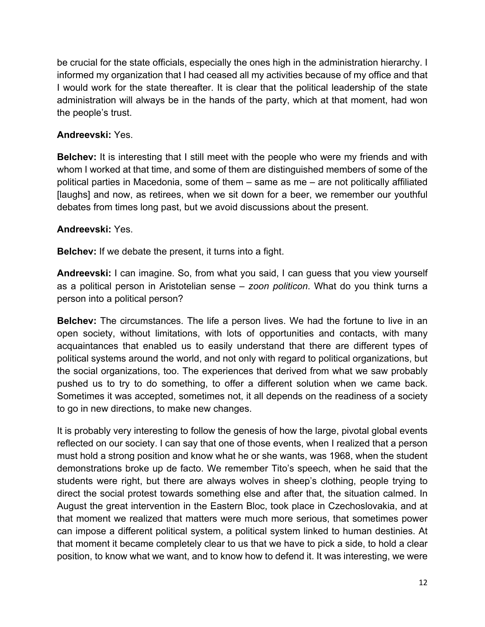be crucial for the state officials, especially the ones high in the administration hierarchy. I informed my organization that I had ceased all my activities because of my office and that I would work for the state thereafter. It is clear that the political leadership of the state administration will always be in the hands of the party, which at that moment, had won the people's trust.

#### **Andreevski:** Yes.

**Belchev:** It is interesting that I still meet with the people who were my friends and with whom I worked at that time, and some of them are distinguished members of some of the political parties in Macedonia, some of them – same as me – are not politically affiliated [laughs] and now, as retirees, when we sit down for a beer, we remember our youthful debates from times long past, but we avoid discussions about the present.

#### **Andreevski:** Yes.

**Belchev:** If we debate the present, it turns into a fight.

**Andreevski:** I can imagine. So, from what you said, I can guess that you view yourself as a political person in Aristotelian sense – *zoon politicon*. What do you think turns a person into a political person?

**Belchev:** The circumstances. The life a person lives. We had the fortune to live in an open society, without limitations, with lots of opportunities and contacts, with many acquaintances that enabled us to easily understand that there are different types of political systems around the world, and not only with regard to political organizations, but the social organizations, too. The experiences that derived from what we saw probably pushed us to try to do something, to offer a different solution when we came back. Sometimes it was accepted, sometimes not, it all depends on the readiness of a society to go in new directions, to make new changes.

It is probably very interesting to follow the genesis of how the large, pivotal global events reflected on our society. I can say that one of those events, when I realized that a person must hold a strong position and know what he or she wants, was 1968, when the student demonstrations broke up de facto. We remember Tito's speech, when he said that the students were right, but there are always wolves in sheep's clothing, people trying to direct the social protest towards something else and after that, the situation calmed. In August the great intervention in the Eastern Bloc, took place in Czechoslovakia, and at that moment we realized that matters were much more serious, that sometimes power can impose a different political system, a political system linked to human destinies. At that moment it became completely clear to us that we have to pick a side, to hold a clear position, to know what we want, and to know how to defend it. It was interesting, we were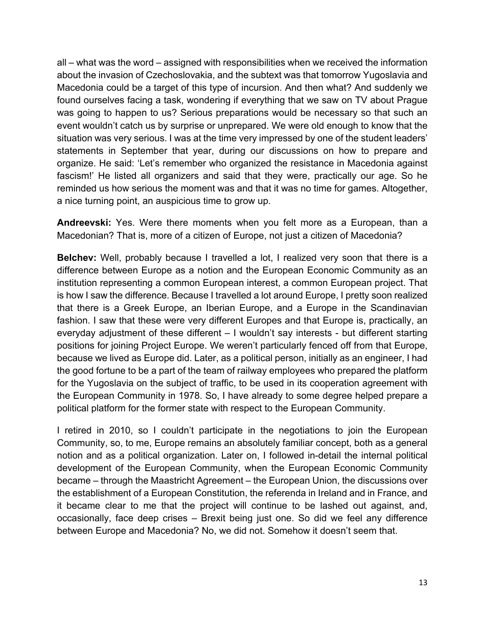all – what was the word – assigned with responsibilities when we received the information about the invasion of Czechoslovakia, and the subtext was that tomorrow Yugoslavia and Macedonia could be a target of this type of incursion. And then what? And suddenly we found ourselves facing a task, wondering if everything that we saw on TV about Prague was going to happen to us? Serious preparations would be necessary so that such an event wouldn't catch us by surprise or unprepared. We were old enough to know that the situation was very serious. I was at the time very impressed by one of the student leaders' statements in September that year, during our discussions on how to prepare and organize. He said: 'Let's remember who organized the resistance in Macedonia against fascism!' He listed all organizers and said that they were, practically our age. So he reminded us how serious the moment was and that it was no time for games. Altogether, a nice turning point, an auspicious time to grow up.

**Andreevski:** Yes. Were there moments when you felt more as a European, than a Macedonian? That is, more of a citizen of Europe, not just a citizen of Macedonia?

**Belchev:** Well, probably because I travelled a lot, I realized very soon that there is a difference between Europe as a notion and the European Economic Community as an institution representing a common European interest, a common European project. That is how I saw the difference. Because I travelled a lot around Europe, I pretty soon realized that there is a Greek Europe, an Iberian Europe, and a Europe in the Scandinavian fashion. I saw that these were very different Europes and that Europe is, practically, an everyday adjustment of these different – I wouldn't say interests - but different starting positions for joining Project Europe. We weren't particularly fenced off from that Europe, because we lived as Europe did. Later, as a political person, initially as an engineer, I had the good fortune to be a part of the team of railway employees who prepared the platform for the Yugoslavia on the subject of traffic, to be used in its cooperation agreement with the European Community in 1978. So, I have already to some degree helped prepare a political platform for the former state with respect to the European Community.

I retired in 2010, so I couldn't participate in the negotiations to join the European Community, so, to me, Europe remains an absolutely familiar concept, both as a general notion and as a political organization. Later on, I followed in-detail the internal political development of the European Community, when the European Economic Community became – through the Maastricht Agreement – the European Union, the discussions over the establishment of a European Constitution, the referenda in Ireland and in France, and it became clear to me that the project will continue to be lashed out against, and, occasionally, face deep crises – Brexit being just one. So did we feel any difference between Europe and Macedonia? No, we did not. Somehow it doesn't seem that.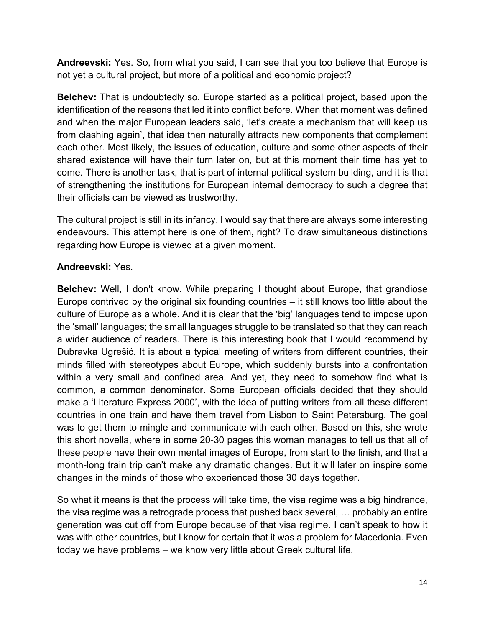**Andreevski:** Yes. So, from what you said, I can see that you too believe that Europe is not yet a cultural project, but more of a political and economic project?

**Belchev:** That is undoubtedly so. Europe started as a political project, based upon the identification of the reasons that led it into conflict before. When that moment was defined and when the major European leaders said, 'let's create a mechanism that will keep us from clashing again', that idea then naturally attracts new components that complement each other. Most likely, the issues of education, culture and some other aspects of their shared existence will have their turn later on, but at this moment their time has yet to come. There is another task, that is part of internal political system building, and it is that of strengthening the institutions for European internal democracy to such a degree that their officials can be viewed as trustworthy.

The cultural project is still in its infancy. I would say that there are always some interesting endeavours. This attempt here is one of them, right? To draw simultaneous distinctions regarding how Europe is viewed at a given moment.

# **Andreevski:** Yes.

**Belchev:** Well, I don't know. While preparing I thought about Europe, that grandiose Europe contrived by the original six founding countries – it still knows too little about the culture of Europe as a whole. And it is clear that the 'big' languages tend to impose upon the 'small' languages; the small languages struggle to be translated so that they can reach a wider audience of readers. There is this interesting book that I would recommend by Dubravka Ugrešić. It is about a typical meeting of writers from different countries, their minds filled with stereotypes about Europe, which suddenly bursts into a confrontation within a very small and confined area. And yet, they need to somehow find what is common, a common denominator. Some European officials decided that they should make a 'Literature Express 2000', with the idea of putting writers from all these different countries in one train and have them travel from Lisbon to Saint Petersburg. The goal was to get them to mingle and communicate with each other. Based on this, she wrote this short novella, where in some 20-30 pages this woman manages to tell us that all of these people have their own mental images of Europe, from start to the finish, and that a month-long train trip can't make any dramatic changes. But it will later on inspire some changes in the minds of those who experienced those 30 days together.

So what it means is that the process will take time, the visa regime was a big hindrance, the visa regime was a retrograde process that pushed back several, … probably an entire generation was cut off from Europe because of that visa regime. I can't speak to how it was with other countries, but I know for certain that it was a problem for Macedonia. Even today we have problems – we know very little about Greek cultural life.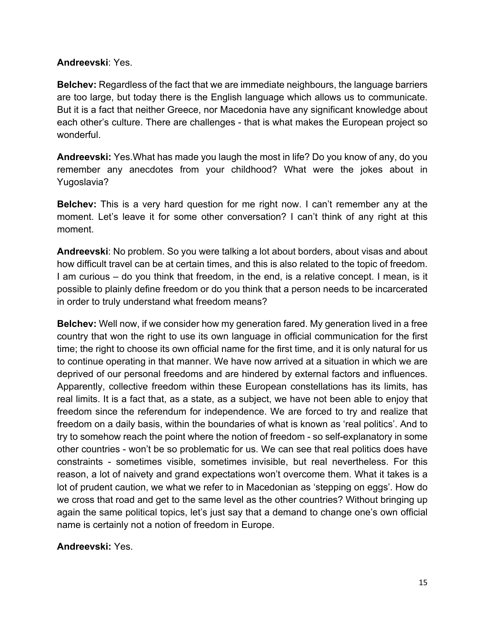#### **Andreevski**: Yes.

**Belchev:** Regardless of the fact that we are immediate neighbours, the language barriers are too large, but today there is the English language which allows us to communicate. But it is a fact that neither Greece, nor Macedonia have any significant knowledge about each other's culture. There are challenges - that is what makes the European project so wonderful.

**Andreevski:** Yes.What has made you laugh the most in life? Do you know of any, do you remember any anecdotes from your childhood? What were the jokes about in Yugoslavia?

**Belchev:** This is a very hard question for me right now. I can't remember any at the moment. Let's leave it for some other conversation? I can't think of any right at this moment.

**Andreevski**: No problem. So you were talking a lot about borders, about visas and about how difficult travel can be at certain times, and this is also related to the topic of freedom. I am curious – do you think that freedom, in the end, is a relative concept. I mean, is it possible to plainly define freedom or do you think that a person needs to be incarcerated in order to truly understand what freedom means?

**Belchev:** Well now, if we consider how my generation fared. My generation lived in a free country that won the right to use its own language in official communication for the first time; the right to choose its own official name for the first time, and it is only natural for us to continue operating in that manner. We have now arrived at a situation in which we are deprived of our personal freedoms and are hindered by external factors and influences. Apparently, collective freedom within these European constellations has its limits, has real limits. It is a fact that, as a state, as a subject, we have not been able to enjoy that freedom since the referendum for independence. We are forced to try and realize that freedom on a daily basis, within the boundaries of what is known as 'real politics'. And to try to somehow reach the point where the notion of freedom - so self-explanatory in some other countries - won't be so problematic for us. We can see that real politics does have constraints - sometimes visible, sometimes invisible, but real nevertheless. For this reason, a lot of naivety and grand expectations won't overcome them. What it takes is a lot of prudent caution, we what we refer to in Macedonian as 'stepping on eggs'. How do we cross that road and get to the same level as the other countries? Without bringing up again the same political topics, let's just say that a demand to change one's own official name is certainly not a notion of freedom in Europe.

# **Andreevski:** Yes.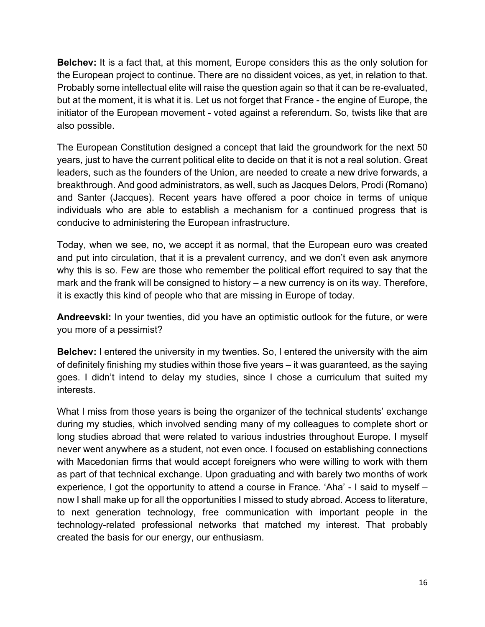**Belchev:** It is a fact that, at this moment, Europe considers this as the only solution for the European project to continue. There are no dissident voices, as yet, in relation to that. Probably some intellectual elite will raise the question again so that it can be re-evaluated, but at the moment, it is what it is. Let us not forget that France - the engine of Europe, the initiator of the European movement - voted against a referendum. So, twists like that are also possible.

The European Constitution designed a concept that laid the groundwork for the next 50 years, just to have the current political elite to decide on that it is not a real solution. Great leaders, such as the founders of the Union, are needed to create a new drive forwards, a breakthrough. And good administrators, as well, such as Jacques Delors, Prodi (Romano) and Santer (Jacques). Recent years have offered a poor choice in terms of unique individuals who are able to establish a mechanism for a continued progress that is conducive to administering the European infrastructure.

Today, when we see, no, we accept it as normal, that the European euro was created and put into circulation, that it is a prevalent currency, and we don't even ask anymore why this is so. Few are those who remember the political effort required to say that the mark and the frank will be consigned to history – a new currency is on its way. Therefore, it is exactly this kind of people who that are missing in Europe of today.

**Andreevski:** In your twenties, did you have an optimistic outlook for the future, or were you more of a pessimist?

**Belchev:** I entered the university in my twenties. So, I entered the university with the aim of definitely finishing my studies within those five years – it was guaranteed, as the saying goes. I didn't intend to delay my studies, since I chose a curriculum that suited my interests.

What I miss from those years is being the organizer of the technical students' exchange during my studies, which involved sending many of my colleagues to complete short or long studies abroad that were related to various industries throughout Europe. I myself never went anywhere as a student, not even once. I focused on establishing connections with Macedonian firms that would accept foreigners who were willing to work with them as part of that technical exchange. Upon graduating and with barely two months of work experience, I got the opportunity to attend a course in France. 'Aha' - I said to myself – now I shall make up for all the opportunities I missed to study abroad. Access to literature, to next generation technology, free communication with important people in the technology-related professional networks that matched my interest. That probably created the basis for our energy, our enthusiasm.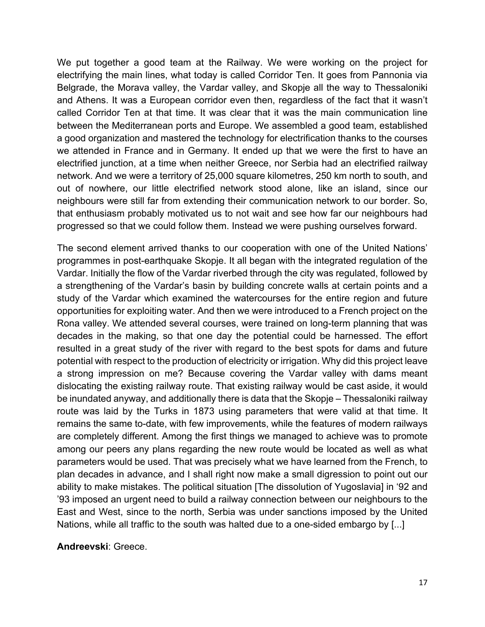We put together a good team at the Railway. We were working on the project for electrifying the main lines, what today is called Corridor Ten. It goes from Pannonia via Belgrade, the Morava valley, the Vardar valley, and Skopje all the way to Thessaloniki and Athens. It was a European corridor even then, regardless of the fact that it wasn't called Corridor Ten at that time. It was clear that it was the main communication line between the Mediterranean ports and Europe. We assembled a good team, established a good organization and mastered the technology for electrification thanks to the courses we attended in France and in Germany. It ended up that we were the first to have an electrified junction, at a time when neither Greece, nor Serbia had an electrified railway network. And we were a territory of 25,000 square kilometres, 250 km north to south, and out of nowhere, our little electrified network stood alone, like an island, since our neighbours were still far from extending their communication network to our border. So, that enthusiasm probably motivated us to not wait and see how far our neighbours had progressed so that we could follow them. Instead we were pushing ourselves forward.

The second element arrived thanks to our cooperation with one of the United Nations' programmes in post-earthquake Skopje. It all began with the integrated regulation of the Vardar. Initially the flow of the Vardar riverbed through the city was regulated, followed by a strengthening of the Vardar's basin by building concrete walls at certain points and a study of the Vardar which examined the watercourses for the entire region and future opportunities for exploiting water. And then we were introduced to a French project on the Rona valley. We attended several courses, were trained on long-term planning that was decades in the making, so that one day the potential could be harnessed. The effort resulted in a great study of the river with regard to the best spots for dams and future potential with respect to the production of electricity or irrigation. Why did this project leave a strong impression on me? Because covering the Vardar valley with dams meant dislocating the existing railway route. That existing railway would be cast aside, it would be inundated anyway, and additionally there is data that the Skopje – Thessaloniki railway route was laid by the Turks in 1873 using parameters that were valid at that time. It remains the same to-date, with few improvements, while the features of modern railways are completely different. Among the first things we managed to achieve was to promote among our peers any plans regarding the new route would be located as well as what parameters would be used. That was precisely what we have learned from the French, to plan decades in advance, and I shall right now make a small digression to point out our ability to make mistakes. The political situation [The dissolution of Yugoslavia] in '92 and '93 imposed an urgent need to build a railway connection between our neighbours to the East and West, since to the north, Serbia was under sanctions imposed by the United Nations, while all traffic to the south was halted due to a one-sided embargo by [...]

#### **Andreevski**: Greece.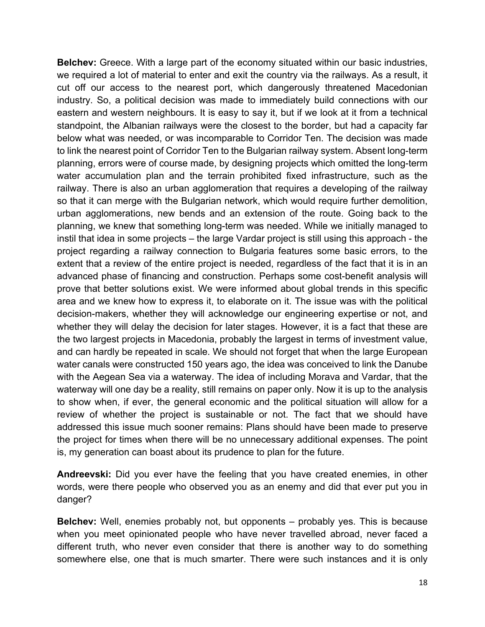**Belchev:** Greece. With a large part of the economy situated within our basic industries, we required a lot of material to enter and exit the country via the railways. As a result, it cut off our access to the nearest port, which dangerously threatened Macedonian industry. So, a political decision was made to immediately build connections with our eastern and western neighbours. It is easy to say it, but if we look at it from a technical standpoint, the Albanian railways were the closest to the border, but had a capacity far below what was needed, or was incomparable to Corridor Ten. The decision was made to link the nearest point of Corridor Ten to the Bulgarian railway system. Absent long-term planning, errors were of course made, by designing projects which omitted the long-term water accumulation plan and the terrain prohibited fixed infrastructure, such as the railway. There is also an urban agglomeration that requires a developing of the railway so that it can merge with the Bulgarian network, which would require further demolition, urban agglomerations, new bends and an extension of the route. Going back to the planning, we knew that something long-term was needed. While we initially managed to instil that idea in some projects – the large Vardar project is still using this approach - the project regarding a railway connection to Bulgaria features some basic errors, to the extent that a review of the entire project is needed, regardless of the fact that it is in an advanced phase of financing and construction. Perhaps some cost-benefit analysis will prove that better solutions exist. We were informed about global trends in this specific area and we knew how to express it, to elaborate on it. The issue was with the political decision-makers, whether they will acknowledge our engineering expertise or not, and whether they will delay the decision for later stages. However, it is a fact that these are the two largest projects in Macedonia, probably the largest in terms of investment value, and can hardly be repeated in scale. We should not forget that when the large European water canals were constructed 150 years ago, the idea was conceived to link the Danube with the Aegean Sea via a waterway. The idea of including Morava and Vardar, that the waterway will one day be a reality, still remains on paper only. Now it is up to the analysis to show when, if ever, the general economic and the political situation will allow for a review of whether the project is sustainable or not. The fact that we should have addressed this issue much sooner remains: Plans should have been made to preserve the project for times when there will be no unnecessary additional expenses. The point is, my generation can boast about its prudence to plan for the future.

**Andreevski:** Did you ever have the feeling that you have created enemies, in other words, were there people who observed you as an enemy and did that ever put you in danger?

**Belchev:** Well, enemies probably not, but opponents – probably yes. This is because when you meet opinionated people who have never travelled abroad, never faced a different truth, who never even consider that there is another way to do something somewhere else, one that is much smarter. There were such instances and it is only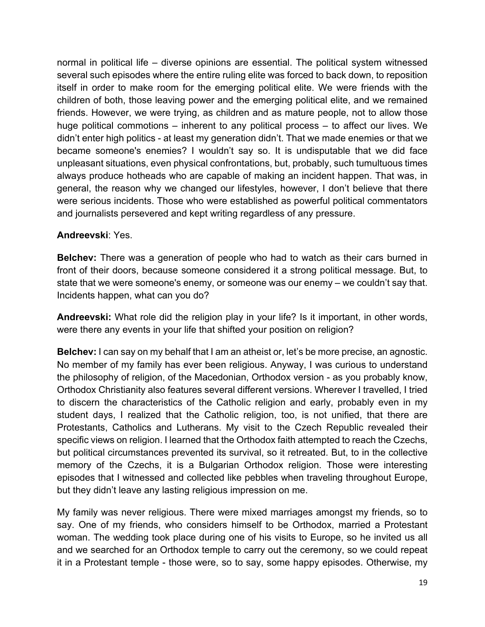normal in political life – diverse opinions are essential. The political system witnessed several such episodes where the entire ruling elite was forced to back down, to reposition itself in order to make room for the emerging political elite. We were friends with the children of both, those leaving power and the emerging political elite, and we remained friends. However, we were trying, as children and as mature people, not to allow those huge political commotions – inherent to any political process – to affect our lives. We didn't enter high politics - at least my generation didn't. That we made enemies or that we became someone's enemies? I wouldn't say so. It is undisputable that we did face unpleasant situations, even physical confrontations, but, probably, such tumultuous times always produce hotheads who are capable of making an incident happen. That was, in general, the reason why we changed our lifestyles, however, I don't believe that there were serious incidents. Those who were established as powerful political commentators and journalists persevered and kept writing regardless of any pressure.

# **Andreevski**: Yes.

**Belchev:** There was a generation of people who had to watch as their cars burned in front of their doors, because someone considered it a strong political message. But, to state that we were someone's enemy, or someone was our enemy – we couldn't say that. Incidents happen, what can you do?

**Andreevski:** What role did the religion play in your life? Is it important, in other words, were there any events in your life that shifted your position on religion?

**Belchev:** I can say on my behalf that I am an atheist or, let's be more precise, an agnostic. No member of my family has ever been religious. Anyway, I was curious to understand the philosophy of religion, of the Macedonian, Orthodox version - as you probably know, Orthodox Christianity also features several different versions. Wherever I travelled, I tried to discern the characteristics of the Catholic religion and early, probably even in my student days, I realized that the Catholic religion, too, is not unified, that there are Protestants, Catholics and Lutherans. My visit to the Czech Republic revealed their specific views on religion. I learned that the Orthodox faith attempted to reach the Czechs, but political circumstances prevented its survival, so it retreated. But, to in the collective memory of the Czechs, it is a Bulgarian Orthodox religion. Those were interesting episodes that I witnessed and collected like pebbles when traveling throughout Europe, but they didn't leave any lasting religious impression on me.

My family was never religious. There were mixed marriages amongst my friends, so to say. One of my friends, who considers himself to be Orthodox, married a Protestant woman. The wedding took place during one of his visits to Europe, so he invited us all and we searched for an Orthodox temple to carry out the ceremony, so we could repeat it in a Protestant temple - those were, so to say, some happy episodes. Otherwise, my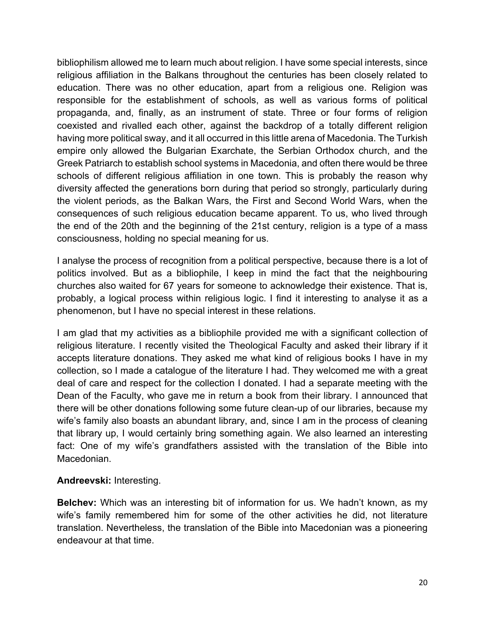bibliophilism allowed me to learn much about religion. I have some special interests, since religious affiliation in the Balkans throughout the centuries has been closely related to education. There was no other education, apart from a religious one. Religion was responsible for the establishment of schools, as well as various forms of political propaganda, and, finally, as an instrument of state. Three or four forms of religion coexisted and rivalled each other, against the backdrop of a totally different religion having more political sway, and it all occurred in this little arena of Macedonia. The Turkish empire only allowed the Bulgarian Exarchate, the Serbian Orthodox church, and the Greek Patriarch to establish school systems in Macedonia, and often there would be three schools of different religious affiliation in one town. This is probably the reason why diversity affected the generations born during that period so strongly, particularly during the violent periods, as the Balkan Wars, the First and Second World Wars, when the consequences of such religious education became apparent. To us, who lived through the end of the 20th and the beginning of the 21st century, religion is a type of a mass consciousness, holding no special meaning for us.

I analyse the process of recognition from a political perspective, because there is a lot of politics involved. But as a bibliophile, I keep in mind the fact that the neighbouring churches also waited for 67 years for someone to acknowledge their existence. That is, probably, a logical process within religious logic. I find it interesting to analyse it as a phenomenon, but I have no special interest in these relations.

I am glad that my activities as a bibliophile provided me with a significant collection of religious literature. I recently visited the Theological Faculty and asked their library if it accepts literature donations. They asked me what kind of religious books I have in my collection, so I made a catalogue of the literature I had. They welcomed me with a great deal of care and respect for the collection I donated. I had a separate meeting with the Dean of the Faculty, who gave me in return a book from their library. I announced that there will be other donations following some future clean-up of our libraries, because my wife's family also boasts an abundant library, and, since I am in the process of cleaning that library up, I would certainly bring something again. We also learned an interesting fact: One of my wife's grandfathers assisted with the translation of the Bible into Macedonian.

# **Andreevski:** Interesting.

**Belchev:** Which was an interesting bit of information for us. We hadn't known, as my wife's family remembered him for some of the other activities he did, not literature translation. Nevertheless, the translation of the Bible into Macedonian was a pioneering endeavour at that time.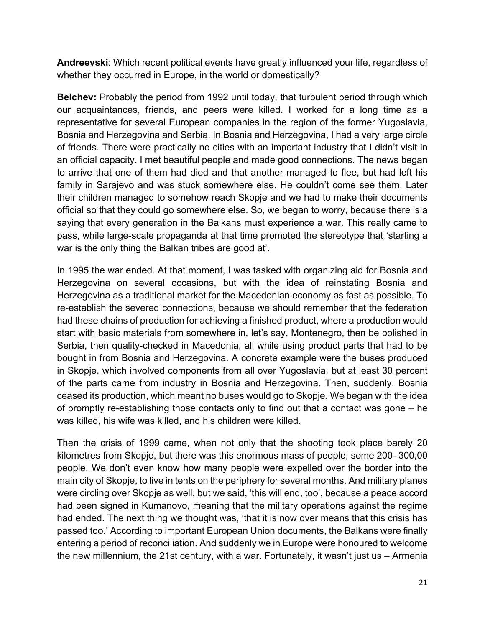**Andreevski**: Which recent political events have greatly influenced your life, regardless of whether they occurred in Europe, in the world or domestically?

**Belchev:** Probably the period from 1992 until today, that turbulent period through which our acquaintances, friends, and peers were killed. I worked for a long time as a representative for several European companies in the region of the former Yugoslavia, Bosnia and Herzegovina and Serbia. In Bosnia and Herzegovina, I had a very large circle of friends. There were practically no cities with an important industry that I didn't visit in an official capacity. I met beautiful people and made good connections. The news began to arrive that one of them had died and that another managed to flee, but had left his family in Sarajevo and was stuck somewhere else. He couldn't come see them. Later their children managed to somehow reach Skopje and we had to make their documents official so that they could go somewhere else. So, we began to worry, because there is a saying that every generation in the Balkans must experience a war. This really came to pass, while large-scale propaganda at that time promoted the stereotype that 'starting a war is the only thing the Balkan tribes are good at'.

In 1995 the war ended. At that moment, I was tasked with organizing aid for Bosnia and Herzegovina on several occasions, but with the idea of reinstating Bosnia and Herzegovina as a traditional market for the Macedonian economy as fast as possible. To re-establish the severed connections, because we should remember that the federation had these chains of production for achieving a finished product, where a production would start with basic materials from somewhere in, let's say, Montenegro, then be polished in Serbia, then quality-checked in Macedonia, all while using product parts that had to be bought in from Bosnia and Herzegovina. A concrete example were the buses produced in Skopje, which involved components from all over Yugoslavia, but at least 30 percent of the parts came from industry in Bosnia and Herzegovina. Then, suddenly, Bosnia ceased its production, which meant no buses would go to Skopje. We began with the idea of promptly re-establishing those contacts only to find out that a contact was gone – he was killed, his wife was killed, and his children were killed.

Then the crisis of 1999 came, when not only that the shooting took place barely 20 kilometres from Skopje, but there was this enormous mass of people, some 200- 300,00 people. We don't even know how many people were expelled over the border into the main city of Skopje, to live in tents on the periphery for several months. And military planes were circling over Skopje as well, but we said, 'this will end, too', because a peace accord had been signed in Kumanovo, meaning that the military operations against the regime had ended. The next thing we thought was, 'that it is now over means that this crisis has passed too.' According to important European Union documents, the Balkans were finally entering a period of reconciliation. And suddenly we in Europe were honoured to welcome the new millennium, the 21st century, with a war. Fortunately, it wasn't just us – Armenia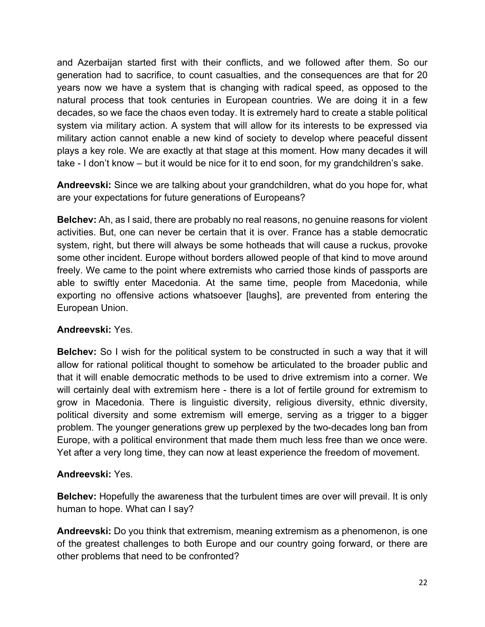and Azerbaijan started first with their conflicts, and we followed after them. So our generation had to sacrifice, to count casualties, and the consequences are that for 20 years now we have a system that is changing with radical speed, as opposed to the natural process that took centuries in European countries. We are doing it in a few decades, so we face the chaos even today. It is extremely hard to create a stable political system via military action. A system that will allow for its interests to be expressed via military action cannot enable a new kind of society to develop where peaceful dissent plays a key role. We are exactly at that stage at this moment. How many decades it will take - I don't know – but it would be nice for it to end soon, for my grandchildren's sake.

**Andreevski:** Since we are talking about your grandchildren, what do you hope for, what are your expectations for future generations of Europeans?

**Belchev:** Ah, as I said, there are probably no real reasons, no genuine reasons for violent activities. But, one can never be certain that it is over. France has a stable democratic system, right, but there will always be some hotheads that will cause a ruckus, provoke some other incident. Europe without borders allowed people of that kind to move around freely. We came to the point where extremists who carried those kinds of passports are able to swiftly enter Macedonia. At the same time, people from Macedonia, while exporting no offensive actions whatsoever [laughs], are prevented from entering the European Union.

# **Andreevski:** Yes.

**Belchev:** So I wish for the political system to be constructed in such a way that it will allow for rational political thought to somehow be articulated to the broader public and that it will enable democratic methods to be used to drive extremism into a corner. We will certainly deal with extremism here - there is a lot of fertile ground for extremism to grow in Macedonia. There is linguistic diversity, religious diversity, ethnic diversity, political diversity and some extremism will emerge, serving as a trigger to a bigger problem. The younger generations grew up perplexed by the two-decades long ban from Europe, with a political environment that made them much less free than we once were. Yet after a very long time, they can now at least experience the freedom of movement.

#### **Andreevski:** Yes.

**Belchev:** Hopefully the awareness that the turbulent times are over will prevail. It is only human to hope. What can I say?

**Andreevski:** Do you think that extremism, meaning extremism as a phenomenon, is one of the greatest challenges to both Europe and our country going forward, or there are other problems that need to be confronted?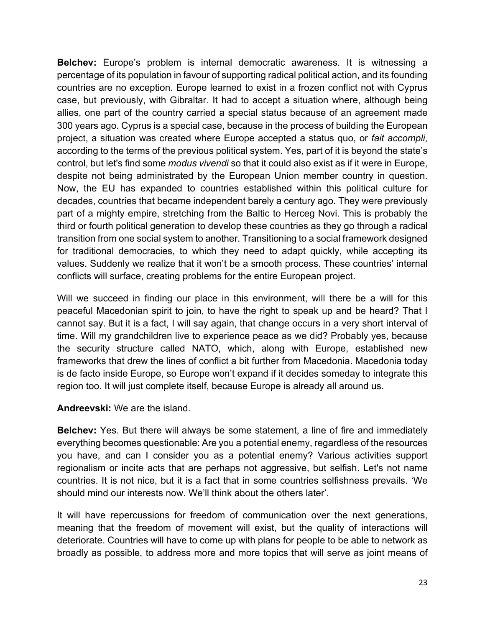**Belchev:** Europe's problem is internal democratic awareness. It is witnessing a percentage of its population in favour of supporting radical political action, and its founding countries are no exception. Europe learned to exist in a frozen conflict not with Cyprus case, but previously, with Gibraltar. It had to accept a situation where, although being allies, one part of the country carried a special status because of an agreement made 300 years ago. Cyprus is a special case, because in the process of building the European project, a situation was created where Europe accepted a status quo, or *fait accompli*, according to the terms of the previous political system. Yes, part of it is beyond the state's control, but let's find some *modus vivendi* so that it could also exist as if it were in Europe, despite not being administrated by the European Union member country in question. Now, the EU has expanded to countries established within this political culture for decades, countries that became independent barely a century ago. They were previously part of a mighty empire, stretching from the Baltic to Herceg Novi. This is probably the third or fourth political generation to develop these countries as they go through a radical transition from one social system to another. Transitioning to a social framework designed for traditional democracies, to which they need to adapt quickly, while accepting its values. Suddenly we realize that it won't be a smooth process. These countries' internal conflicts will surface, creating problems for the entire European project.

Will we succeed in finding our place in this environment, will there be a will for this peaceful Macedonian spirit to join, to have the right to speak up and be heard? That I cannot say. But it is a fact, I will say again, that change occurs in a very short interval of time. Will my grandchildren live to experience peace as we did? Probably yes, because the security structure called NATO, which, along with Europe, established new frameworks that drew the lines of conflict a bit further from Macedonia. Macedonia today is de facto inside Europe, so Europe won't expand if it decides someday to integrate this region too. It will just complete itself, because Europe is already all around us.

#### **Andreevski:** We are the island.

**Belchev:** Yes. But there will always be some statement, a line of fire and immediately everything becomes questionable: Are you a potential enemy, regardless of the resources you have, and can I consider you as a potential enemy? Various activities support regionalism or incite acts that are perhaps not aggressive, but selfish. Let's not name countries. It is not nice, but it is a fact that in some countries selfishness prevails. 'We should mind our interests now. We'll think about the others later'.

It will have repercussions for freedom of communication over the next generations, meaning that the freedom of movement will exist, but the quality of interactions will deteriorate. Countries will have to come up with plans for people to be able to network as broadly as possible, to address more and more topics that will serve as joint means of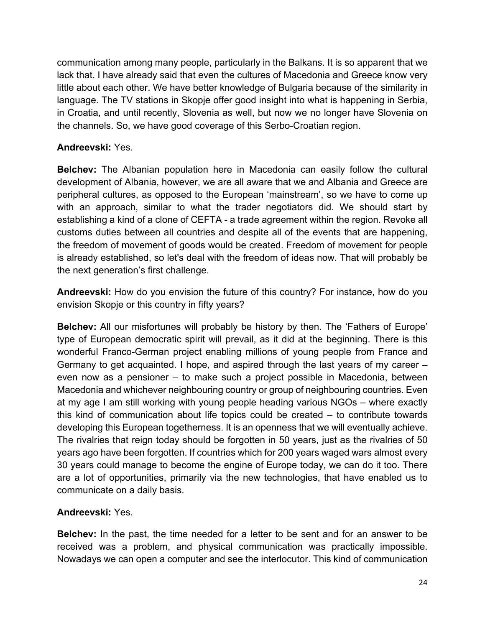communication among many people, particularly in the Balkans. It is so apparent that we lack that. I have already said that even the cultures of Macedonia and Greece know very little about each other. We have better knowledge of Bulgaria because of the similarity in language. The TV stations in Skopje offer good insight into what is happening in Serbia, in Croatia, and until recently, Slovenia as well, but now we no longer have Slovenia on the channels. So, we have good coverage of this Serbo-Croatian region.

# **Andreevski:** Yes.

**Belchev:** The Albanian population here in Macedonia can easily follow the cultural development of Albania, however, we are all aware that we and Albania and Greece are peripheral cultures, as opposed to the European 'mainstream', so we have to come up with an approach, similar to what the trader negotiators did. We should start by establishing a kind of a clone of CEFTA - a trade agreement within the region. Revoke all customs duties between all countries and despite all of the events that are happening, the freedom of movement of goods would be created. Freedom of movement for people is already established, so let's deal with the freedom of ideas now. That will probably be the next generation's first challenge.

**Andreevski:** How do you envision the future of this country? For instance, how do you envision Skopje or this country in fifty years?

**Belchev:** All our misfortunes will probably be history by then. The 'Fathers of Europe' type of European democratic spirit will prevail, as it did at the beginning. There is this wonderful Franco-German project enabling millions of young people from France and Germany to get acquainted. I hope, and aspired through the last years of my career – even now as a pensioner – to make such a project possible in Macedonia, between Macedonia and whichever neighbouring country or group of neighbouring countries. Even at my age I am still working with young people heading various NGOs – where exactly this kind of communication about life topics could be created – to contribute towards developing this European togetherness. It is an openness that we will eventually achieve. The rivalries that reign today should be forgotten in 50 years, just as the rivalries of 50 years ago have been forgotten. If countries which for 200 years waged wars almost every 30 years could manage to become the engine of Europe today, we can do it too. There are a lot of opportunities, primarily via the new technologies, that have enabled us to communicate on a daily basis.

# **Andreevski:** Yes.

**Belchev:** In the past, the time needed for a letter to be sent and for an answer to be received was a problem, and physical communication was practically impossible. Nowadays we can open a computer and see the interlocutor. This kind of communication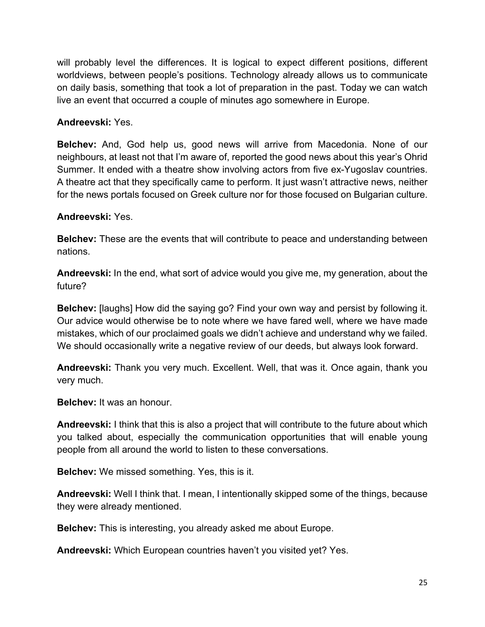will probably level the differences. It is logical to expect different positions, different worldviews, between people's positions. Technology already allows us to communicate on daily basis, something that took a lot of preparation in the past. Today we can watch live an event that occurred a couple of minutes ago somewhere in Europe.

#### **Andreevski:** Yes.

**Belchev:** And, God help us, good news will arrive from Macedonia. None of our neighbours, at least not that I'm aware of, reported the good news about this year's Ohrid Summer. It ended with a theatre show involving actors from five ex-Yugoslav countries. A theatre act that they specifically came to perform. It just wasn't attractive news, neither for the news portals focused on Greek culture nor for those focused on Bulgarian culture.

#### **Andreevski:** Yes.

**Belchev:** These are the events that will contribute to peace and understanding between nations.

**Andreevski:** In the end, what sort of advice would you give me, my generation, about the future?

**Belchev:** [laughs] How did the saying go? Find your own way and persist by following it. Our advice would otherwise be to note where we have fared well, where we have made mistakes, which of our proclaimed goals we didn't achieve and understand why we failed. We should occasionally write a negative review of our deeds, but always look forward.

**Andreevski:** Thank you very much. Excellent. Well, that was it. Once again, thank you very much.

**Belchev:** It was an honour.

**Andreevski:** I think that this is also a project that will contribute to the future about which you talked about, especially the communication opportunities that will enable young people from all around the world to listen to these conversations.

**Belchev:** We missed something. Yes, this is it.

**Andreevski:** Well I think that. I mean, I intentionally skipped some of the things, because they were already mentioned.

**Belchev:** This is interesting, you already asked me about Europe.

**Andreevski:** Which European countries haven't you visited yet? Yes.